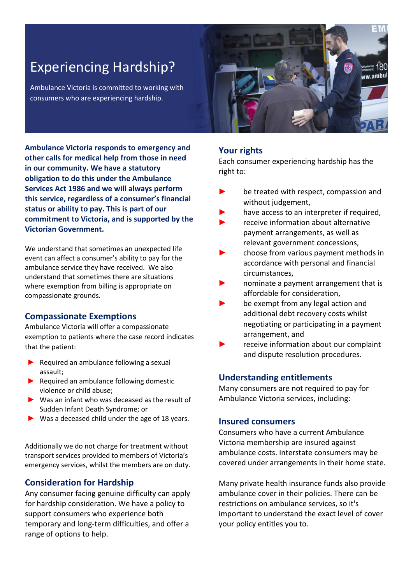# Experiencing Hardship?

Ambulance Victoria is committed to working with consumers who are experiencing hardship.



**Ambulance Victoria responds to emergency and other calls for medical help from those in need in our community. We have a statutory obligation to do this under the Ambulance Services Act 1986 and we will always perform this service, regardless of a consumer's financial status or ability to pay. This is part of our commitment to Victoria, and is supported by the Victorian Government.** 

We understand that sometimes an unexpected life event can affect a consumer's ability to pay for the ambulance service they have received. We also understand that sometimes there are situations where exemption from billing is appropriate on compassionate grounds.

#### **Compassionate Exemptions**

Ambulance Victoria will offer a compassionate exemption to patients where the case record indicates that the patient:

- ▶ Required an ambulance following a sexual assault;
- $\blacktriangleright$  Required an ambulance following domestic violence or child abuse;
- ► Was an infant who was deceased as the result of Sudden Infant Death Syndrome; or
- $\triangleright$  Was a deceased child under the age of 18 years.

Additionally we do not charge for treatment without transport services provided to members of Victoria's emergency services, whilst the members are on duty.

# **Consideration for Hardship**

Any consumer facing genuine difficulty can apply for hardship consideration. We have a policy to support consumers who experience both temporary and long-term difficulties, and offer a range of options to help.

## **Your rights**

Each consumer experiencing hardship has the right to:

- be treated with respect, compassion and without judgement,
- have access to an interpreter if required.
- receive information about alternative payment arrangements, as well as relevant government concessions,
- choose from various payment methods in accordance with personal and financial circumstances,
- nominate a payment arrangement that is affordable for consideration,
- be exempt from any legal action and additional debt recovery costs whilst negotiating or participating in a payment arrangement, and
- receive information about our complaint and dispute resolution procedures.

## **Understanding entitlements**

Many consumers are not required to pay for Ambulance Victoria services, including:

#### **Insured consumers**

Consumers who have a current Ambulance Victoria membership are insured against ambulance costs. Interstate consumers may be covered under arrangements in their home state.

Many private health insurance funds also provide ambulance cover in their policies. There can be restrictions on ambulance services, so it's important to understand the exact level of cover your policy entitles you to.